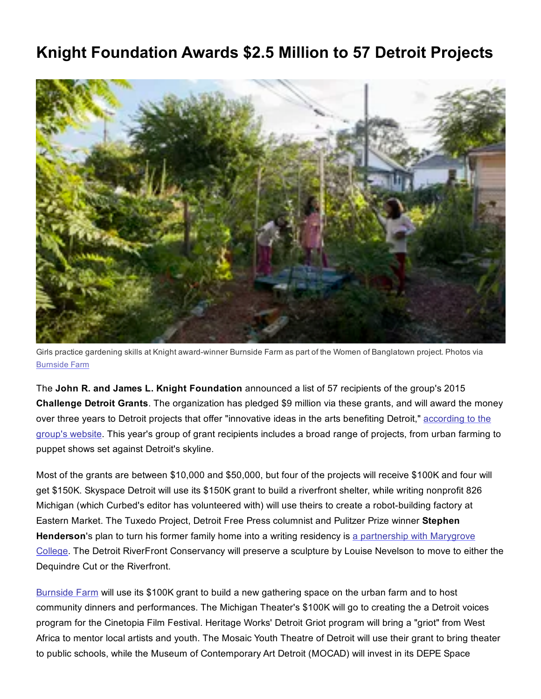## Knight Foundation Awards \$2.5 Million to 57 Detroit Projects



Girls practice gardening skills at Knight award-winner Burnside Farm as part of the Women of Banglatown project. Photos via [Burnside](http://www.burnsidefarmdetroit.com/) Farm

The John R. and James L. Knight Foundation announced a list of 57 recipients of the group's 2015 Challenge Detroit Grants. The organization has pledged \$9 million via these grants, and will award the money over three years to Detroit projects that offer ["innovative](http://knightfoundation.org/features/artsdetroit/) ideas in the arts benefiting Detroit," according to the group's website. This year's group of grant recipients includes a broad range of projects, from urban farming to puppet shows set against Detroit's skyline.

Most of the grants are between \$10,000 and \$50,000, but four of the projects will receive \$100K and four will get \$150K. Skyspace Detroit will use its \$150K grant to build a riverfront shelter, while writing nonprofit 826 Michigan (which Curbed's editor has volunteered with) will use theirs to create a robot-building factory at Eastern Market. The Tuxedo Project, Detroit Free Press columnist and Pulitzer Prize winner Stephen [Henderson's](http://www.freep.com/story/opinion/columnists/stephen-henderson/2015/11/08/stephen-henderson-through-doors-7124-tuxedo/75211216/) plan to turn his former family home into a writing residency is a partnership with Marygrove College. The Detroit RiverFront Conservancy will preserve a sculpture by Louise Nevelson to move to either the Dequindre Cut or the Riverfront.

[Burnside](http://www.burnsidefarmdetroit.com/) Farm will use its \$100K grant to build a new gathering space on the urban farm and to host community dinners and performances. The Michigan Theater's \$100K will go to creating the a Detroit voices program for the Cinetopia Film Festival. Heritage Works' Detroit Griot program will bring a "griot" from West Africa to mentor local artists and youth. The Mosaic Youth Theatre of Detroit will use their grant to bring theater to public schools, while the Museum of Contemporary Art Detroit (MOCAD) will invest in its DEPE Space